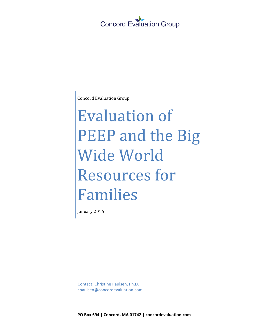

Concord Evaluation Group

# **Evaluation of** PEEP and the Big Wide World **Resources** for Families

January 2016

Contact: Christine Paulsen, Ph.D. cpaulsen@concordevaluation.com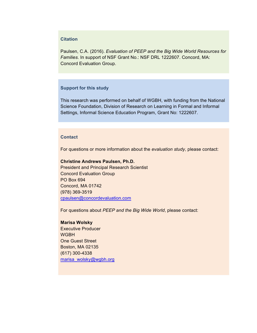#### **Citation**

Paulsen, C.A. (2016). *Evaluation of PEEP and the Big Wide World Resources for Families*. In support of NSF Grant No.: NSF DRL 1222607. Concord, MA: Concord Evaluation Group.

#### **Support for this study**

This research was performed on behalf of WGBH, with funding from the National Science Foundation, Division of Research on Learning in Formal and Informal Settings, Informal Science Education Program, Grant No: 1222607.

#### **Contact**

For questions or more information about the *evaluation study*, please contact:

#### **Christine Andrews Paulsen, Ph.D.**

President and Principal Research Scientist Concord Evaluation Group PO Box 694 Concord, MA 01742 (978) 369-3519 cpaulsen@concordevaluation.com

For questions about *PEEP and the Big Wide World*, please contact:

#### **Marisa Wolsky**

Executive Producer **WGBH** One Guest Street Boston, MA 02135 (617) 300-4338 marisa\_wolsky@wgbh.org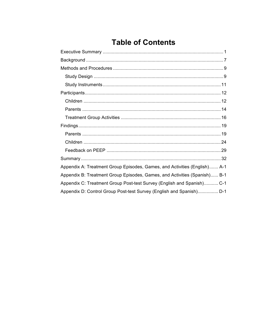| Appendix A: Treatment Group Episodes, Games, and Activities (English) A-1 |
|---------------------------------------------------------------------------|
| Appendix B: Treatment Group Episodes, Games, and Activities (Spanish) B-1 |
| Appendix C: Treatment Group Post-test Survey (English and Spanish) C-1    |
| Appendix D: Control Group Post-test Survey (English and Spanish) D-1      |

# **Table of Contents**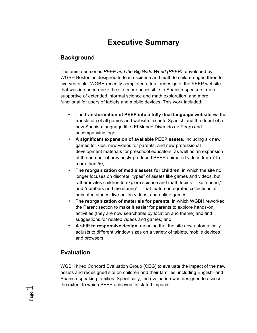# **Executive Summary**

# **Background**

The animated series *PEEP and the Big Wide World (PEEP)*, developed by WGBH Boston, is designed to teach science and math to children aged three to five years old. WGBH recently completed a total redesign of the PEEP website that was intended make the site more accessible to Spanish-speakers, more supportive of extended informal science and math exploration, and more functional for users of tablets and mobile devices. This work included:

- The **transformation of PEEP into a fully dual language website** via the translation of all games and website text into Spanish and the debut of a new Spanish-language title (El Mundo Divertido de Peep) and accompanying logo;
- **A significant expansion of available PEEP assets**, including six new games for kids, new videos for parents, and new professional development materials for preschool educators, as well as an expansion of the number of previously-produced PEEP animated videos from 7 to more than 50;
- **The reorganization of media assets for children**, in which the site no longer focuses on discrete "types" of assets like games and videos, but rather invites children to explore science and math topics—like "sound," and "numbers and measuring"— that feature integrated collections of animated stories, live-action videos, and online games;
- **The reorganization of materials for parents**, in which WGBH reworked the Parent section to make it easier for parents to explore hands-on activities (they are now searchable by location and theme) and find suggestions for related videos and games; and
- **A shift to responsive design**, meaning that the site now automatically adjusts to different window sizes on a variety of tablets, mobile devices and browsers.

# **Evaluation**

WGBH hired Concord Evaluation Group (CEG) to evaluate the impact of the new assets and redesigned site on children and their families, including English- and Spanish-speaking families. Specifically, the evaluation was designed to assess the extent to which PEEP achieved its stated impacts.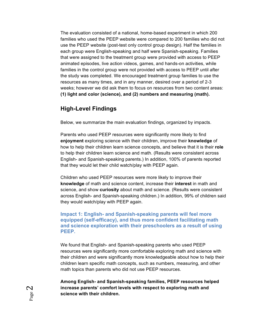The evaluation consisted of a national, home-based experiment in which 200 families who used the PEEP website were compared to 200 families who did not use the PEEP website (post-test only control group design). Half the families in each group were English-speaking and half were Spanish-speaking. Families that were assigned to the treatment group were provided with access to PEEP animated episodes, live action videos, games, and hands-on activities, while families in the control group were not provided with access to PEEP until after the study was completed. We encouraged treatment group families to use the resources as many times, and in any manner, desired over a period of 2-3 weeks; however we did ask them to focus on resources from two content areas: **(1) light and color (science), and (2) numbers and measuring (math).**

# **High-Level Findings**

Below, we summarize the main evaluation findings, organized by impacts.

Parents who used PEEP resources were significantly more likely to find **enjoyment** exploring science with their children, improve their **knowledge** of how to help their children learn science concepts, and believe that it is their **role** to help their children learn science and math. (Results were consistent across English- and Spanish-speaking parents.) In addition, 100% of parents reported that they would let their child watch/play with PEEP again.

Children who used PEEP resources were more likely to improve their **knowledge** of math and science content, increase their **interest** in math and science, and show **curiosity** about math and science. (Results were consistent across English- and Spanish-speaking children.) In addition, 99% of children said they would watch/play with PEEP again.

# **Impact 1: English- and Spanish-speaking parents will feel more equipped (self-efficacy), and thus more confident facilitating math and science exploration with their preschoolers as a result of using PEEP.**

We found that English- and Spanish-speaking parents who used PEEP resources were significantly more comfortable exploring math and science with their children and were significantly more knowledgeable about how to help their children learn specific math concepts, such as numbers, measuring, and other math topics than parents who did not use PEEP resources.

**Among English- and Spanish-speaking families, PEEP resources helped increase parents' comfort levels with respect to exploring math and science with their children.**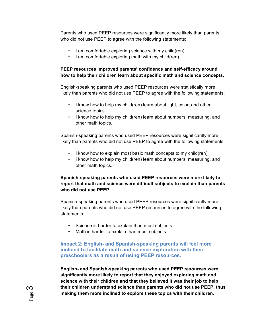Parents who used PEEP resources were significantly more likely than parents who did not use PEEP to agree with the following statements:

- I am comfortable exploring science with my child(ren).
- I am comfortable exploring math with my child(ren).

# **PEEP resources improved parents' confidence and self-efficacy around how to help their children learn about specific math and science concepts.**

English-speaking parents who used PEEP resources were statistically more likely than parents who did not use PEEP to agree with the following statements:

- I know how to help my child(ren) learn about light, color, and other science topics.
- I know how to help my child(ren) learn about numbers, measuring, and other math topics.

Spanish-speaking parents who used PEEP resources were significantly more likely than parents who did not use PEEP to agree with the following statements:

- I know how to explain most basic math concepts to my child(ren).
- I know how to help my child(ren) learn about numbers, measuring, and other math topics.

## **Spanish-speaking parents who used PEEP resources were more likely to report that math and science were difficult subjects to explain than parents who did not use PEEP.**

Spanish-speaking parents who used PEEP resources were significantly more likely than parents who did not use PEEP resources to agree with the following statements:

- Science is harder to explain than most subjects.
- Math is harder to explain than most subjects.

## **Impact 2: English- and Spanish-speaking parents will feel more inclined to facilitate math and science exploration with their preschoolers as a result of using PEEP resources.**

**English- and Spanish-speaking parents who used PEEP resources were significantly more likely to report that they enjoyed exploring math and science with their children and that they believed it was their job to help their children understand science than parents who did not use PEEP, thus making them more inclined to explore these topics with their children.**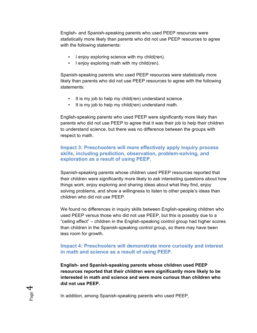English- and Spanish-speaking parents who used PEEP resources were statistically more likely than parents who did not use PEEP resources to agree with the following statements:

- I enjoy exploring science with my child(ren).
- I enjoy exploring math with my child(ren).

Spanish-speaking parents who used PEEP resources were statistically more likely than parents who did not use PEEP resources to agree with the following statements:

- It is my job to help my child(ren) understand science.
- It is my job to help my child(ren) understand math.

English-speaking parents who used PEEP were significantly more likely than parents who did not use PEEP to agree that it was their job to help their children to understand science, but there was no difference between the groups with respect to math.

# **Impact 3: Preschoolers will more effectively apply inquiry process skills, including prediction, observation, problem-solving, and exploration as a result of using PEEP.**

Spanish-speaking parents whose children used PEEP resources reported that their children were significantly more likely to ask interesting questions about how things work, enjoy exploring and sharing ideas about what they find, enjoy solving problems, and show a willingness to listen to other people's ideas than children who did not use PEEP.

We found no differences in inquiry skills between English-speaking children who used PEEP versus those who did not use PEEP, but this is possibly due to a "ceiling effect" – children in the English-speaking control group had higher scores than children in the Spanish-speaking control group, so there may have been less room for growth.

## **Impact 4: Preschoolers will demonstrate more curiosity and interest in math and science as a result of using PEEP.**

**English- and Spanish-speaking parents whose children used PEEP resources reported that their children were significantly more likely to be interested in math and science and were more curious than children who did not use PEEP.** 

In addition, among Spanish-speaking parents who used PEEP,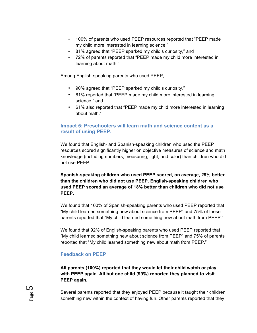- 100% of parents who used PEEP resources reported that "PEEP made my child more interested in learning science,"
- 81% agreed that "PEEP sparked my child's curiosity," and
- 72% of parents reported that "PEEP made my child more interested in learning about math."

Among English-speaking parents who used PEEP,

- 90% agreed that "PEEP sparked my child's curiosity,"
- 61% reported that "PEEP made my child more interested in learning science," and
- 61% also reported that "PEEP made my child more interested in learning about math."

# **Impact 5: Preschoolers will learn math and science content as a result of using PEEP.**

We found that English- and Spanish-speaking children who used the PEEP resources scored significantly higher on objective measures of science and math knowledge (including numbers, measuring, light, and color) than children who did not use PEEP.

## **Spanish-speaking children who used PEEP scored, on average, 29% better than the children who did not use PEEP. English-speaking children who used PEEP scored an average of 18% better than children who did not use PEEP.**

We found that 100% of Spanish-speaking parents who used PEEP reported that "My child learned something new about science from PEEP" and 75% of these parents reported that "My child learned something new about math from PEEP."

We found that 92% of English-speaking parents who used PEEP reported that "My child learned something new about science from PEEP" and 75% of parents reported that "My child learned something new about math from PEEP."

# **Feedback on PEEP**

**All parents (100%) reported that they would let their child watch or play with PEEP again. All but one child (99%) reported they planned to visit PEEP again.**

Several parents reported that they enjoyed PEEP because it taught their children something new within the context of having fun. Other parents reported that they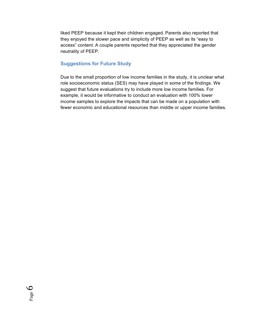liked PEEP because it kept their children engaged. Parents also reported that they enjoyed the slower pace and simplicity of PEEP as well as its "easy to access" content. A couple parents reported that they appreciated the gender neutrality of PEEP.

#### **Suggestions for Future Study**

Due to the small proportion of low income families in the study, it is unclear what role socioeconomic status (SES) may have played in some of the findings. We suggest that future evaluations try to include more low income families. For example, it would be informative to conduct an evaluation with 100% lower income samples to explore the impacts that can be made on a population with fewer economic and educational resources than middle or upper income families.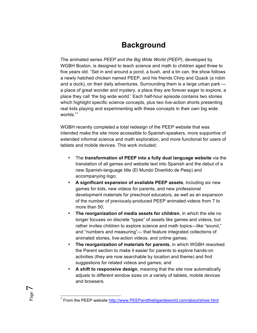# **Background**

The animated series *PEEP and the Big Wide World (PEEP)*, developed by WGBH Boston, is designed to teach science and math to children aged three to five years old. "Set in and around a pond, a bush, and a tin can, the show follows a newly hatched chicken named PEEP, and his friends Chirp and Quack (a robin and a duck), on their daily adventures. Surrounding them is a large urban park a place of great wonder and mystery, a place they are forever eager to explore, a place they call 'the big wide world.' Each half-hour episode contains two stories which highlight specific science concepts, plus two live-action shorts presenting real kids playing and experimenting with these concepts in their own big wide worlds." 1

WGBH recently completed a total redesign of the PEEP website that was intended make the site more accessible to Spanish-speakers, more supportive of extended informal science and math exploration, and more functional for users of tablets and mobile devices. This work included:

- The **transformation of PEEP into a fully dual language website** via the translation of all games and website text into Spanish and the debut of a new Spanish-language title (El Mundo Divertido de Peep) and accompanying logo;
- **A significant expansion of available PEEP assets**, including six new games for kids, new videos for parents, and new professional development materials for preschool educators, as well as an expansion of the number of previously-produced PEEP animated videos from 7 to more than 50;
- **The reorganization of media assets for children**, in which the site no longer focuses on discrete "types" of assets like games and videos, but rather invites children to explore science and math topics—like "sound," and "numbers and measuring"— that feature integrated collections of animated stories, live-action videos, and online games;
- **The reorganization of materials for parents**, in which WGBH reworked the Parent section to make it easier for parents to explore hands-on activities (they are now searchable by location and theme) and find suggestions for related videos and games; and
- **A shift to responsive design**, meaning that the site now automatically adjusts to different window sizes on a variety of tablets, mobile devices and browsers.

Page 7

<sup>&</sup>lt;sup>1</sup> From the PEEP website http://www.PEEPandthebigwideworld.com/about/show.html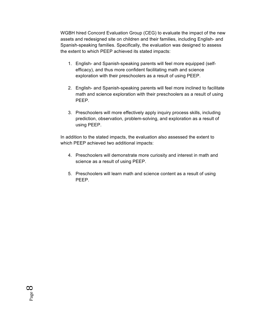WGBH hired Concord Evaluation Group (CEG) to evaluate the impact of the new assets and redesigned site on children and their families, including English- and Spanish-speaking families. Specifically, the evaluation was designed to assess the extent to which PEEP achieved its stated impacts:

- 1. English- and Spanish-speaking parents will feel more equipped (selfefficacy), and thus more confident facilitating math and science exploration with their preschoolers as a result of using PEEP.
- 2. English- and Spanish-speaking parents will feel more inclined to facilitate math and science exploration with their preschoolers as a result of using PEEP.
- 3. Preschoolers will more effectively apply inquiry process skills, including prediction, observation, problem-solving, and exploration as a result of using PEEP.

In addition to the stated impacts, the evaluation also assessed the extent to which PEEP achieved two additional impacts:

- 4. Preschoolers will demonstrate more curiosity and interest in math and science as a result of using PEEP.
- 5. Preschoolers will learn math and science content as a result of using PEEP.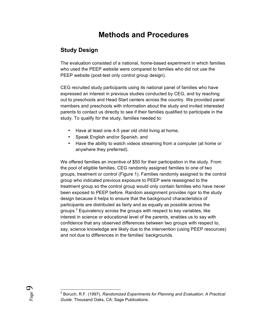# **Methods and Procedures**

# **Study Design**

The evaluation consisted of a national, home-based experiment in which families who used the PEEP website were compared to families who did not use the PEEP website (post-test only control group design).

CEG recruited study participants using its national panel of families who have expressed an interest in previous studies conducted by CEG, and by reaching out to preschools and Head Start centers across the country. We provided panel members and preschools with information about the study and invited interested parents to contact us directly to see if their families qualified to participate in the study. To qualify for the study, families needed to:

- Have at least one 4-5 year old child living at home,
- Speak English and/or Spanish, and
- Have the ability to watch videos streaming from a computer (at home or anywhere they preferred).

We offered families an incentive of \$50 for their participation in the study. From the pool of eligible families, CEG randomly assigned families to one of two groups, treatment or control (Figure 1). Families randomly assigned to the control group who indicated previous exposure to PEEP were reassigned to the treatment group so the control group would only contain families who have never been exposed to PEEP before. Random assignment provides rigor to the study design because it helps to ensure that the background characteristics of participants are distributed as fairly and as equally as possible across the groups. $2$  Equivalency across the groups with respect to key variables, like interest in science or educational level of the parents, enables us to say with confidence that any observed differences between two groups with respect to, say, science knowledge are likely due to the intervention (using PEEP resources) and not due to differences in the families' backgrounds.



 <sup>2</sup> Boruch, R.F. (1997). *Randomized Experiments for Planning and Evaluation: A Practical Guide*. Thousand Oaks, CA: Sage Publications.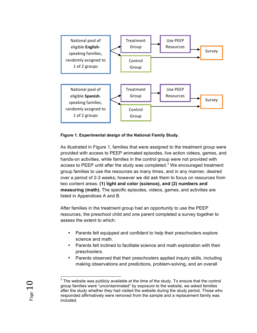

#### **Figure 1. Experimental design of the National Family Study.**

As illustrated in Figure 1, families that were assigned to the treatment group were provided with access to PEEP animated episodes, live action videos, games, and hands-on activities, while families in the control group were not provided with access to PEEP until after the study was completed. $3$  We encouraged treatment group families to use the resources as many times, and in any manner, desired over a period of 2-3 weeks; however we did ask them to focus on resources from two content areas: **(1) light and color (science), and (2) numbers and measuring (math).** The specific episodes, videos, games, and activities are listed in Appendices A and B.

After families in the treatment group had an opportunity to use the PEEP resources, the preschool child and one parent completed a survey together to assess the extent to which:

- Parents felt equipped and confident to help their preschoolers explore science and math.
- Parents felt inclined to facilitate science and math exploration with their preschoolers.
- Parents observed that their preschoolers applied inquiry skills, including making observations and predictions, problem-solving, and an overall

 $3$  The website was publicly available at the time of the study. To ensure that the control group families were "uncontaminated" by exposure to the website, we asked families after the study whether they had visited the website during the study period. Those who responded affirmatively were removed from the sample and a replacement family was included.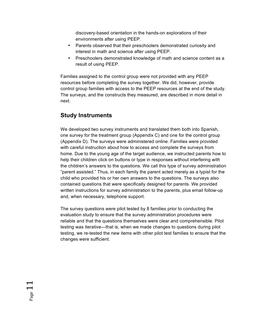discovery-based orientation in the hands-on explorations of their environments after using PEEP.

- Parents observed that their preschoolers demonstrated curiosity and interest in math and science after using PEEP.
- Preschoolers demonstrated knowledge of math and science content as a result of using PEEP.

Families assigned to the control group were not provided with any PEEP resources before completing the survey together. We did, however, provide control group families with access to the PEEP resources at the end of the study. The surveys, and the constructs they measured, are described in more detail in next.

# **Study Instruments**

We developed two survey instruments and translated them both into Spanish, one survey for the treatment group (Appendix C) and one for the control group (Appendix D). The surveys were administered online. Families were provided with careful instruction about how to access and complete the surveys from home. Due to the young age of the target audience, we instructed parents how to help their children click on buttons or type in responses without interfering with the children's answers to the questions. We call this type of survey administration "parent assisted." Thus, in each family the parent acted merely as a typist for the child who provided his or her own answers to the questions. The surveys also contained questions that were specifically designed for parents. We provided written instructions for survey administration to the parents, plus email follow-up and, when necessary, telephone support.

The survey questions were pilot tested by 8 families prior to conducting the evaluation study to ensure that the survey administration procedures were reliable and that the questions themselves were clear and comprehensible. Pilot testing was iterative—that is, when we made changes to questions during pilot testing, we re-tested the new items with other pilot test families to ensure that the changes were sufficient.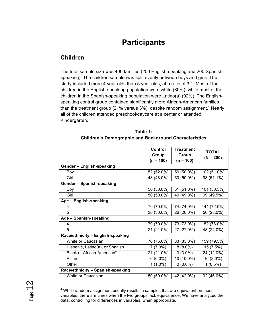# **Participants**

# **Children**

The total sample size was 400 families (200 English-speaking and 200 Spanishspeaking). The children sample was split evenly between boys and girls. The study included more 4 year olds than 5 year olds, at a ratio of 3:1. Most of the children in the English-speaking population were white (80%), while most of the children in the Spanish-speaking population were Latino(a) (92%). The Englishspeaking control group contained significantly more African-American families than the treatment group (21% versus 3%), despite random assignment.<sup>4</sup> Nearly all of the children attended preschool/daycare at a center or attended Kindergarten.

|                                        | Control<br>Group<br>$(n = 100)$ | <b>Treatment</b><br>Group<br>$(n = 100)$ | <b>TOTAL</b><br>$(N = 200)$ |
|----------------------------------------|---------------------------------|------------------------------------------|-----------------------------|
| Gender - English-speaking              |                                 |                                          |                             |
| Boy                                    | 52 (52.0%)                      | 50 (50.0%)                               | 102 (51.0%)                 |
| Girl                                   | 48 (48.0%)                      | 50 (50.0%)                               | 98 (51.1%)                  |
| <b>Gender - Spanish-speaking</b>       |                                 |                                          |                             |
| Boy                                    | 50 (50.0%)                      | 51 (51.0%)                               | 101 (50.5%)                 |
| Girl                                   | 50 (50.0%)                      | 49 (49.0%)                               | 99 (49.5%)                  |
| Age - English-speaking                 |                                 |                                          |                             |
| 4                                      | 70 (70.0%)                      | 74 (74.0%)                               | 144 (72.0%)                 |
| 5                                      | 30 (30.0%)                      | 26 (26.0%)                               | 56 (28.0%)                  |
| Age - Spanish-speaking                 |                                 |                                          |                             |
| 4                                      | 79 (79.0%)                      | 73 (73.0%)                               | 152 (76.0%)                 |
| 5                                      | 21 (21.0%)                      | 27 (27.0%)                               | 48 (24.0%)                  |
| Race/ethnicity - English-speaking      |                                 |                                          |                             |
| White or Caucasian                     | 76 (76.0%)                      | 83 (83.0%)                               | 159 (79.5%)                 |
| Hispanic, Latino(a), or Spanish        | $7(7.0\%)$                      | $8(8.0\%)$                               | 15 (7.5%)                   |
| Black or African-American <sup>a</sup> | 21 (21.0%)                      | $3(3.0\%)$                               | 24 (12.0%)                  |
| Asian                                  | $6(6.0\%)$                      | 10 (10.0%)                               | 16 (8.0%)                   |
| Other                                  | $1(1.0\%)$                      | $0(0.0\%)$                               | $1(0.5\%)$                  |
| Race/ethnicity - Spanish-speaking      |                                 |                                          |                             |
| White or Caucasian                     | 50 (50.0%)                      | 42 (42.0%)                               | 92 (46.0%)                  |

| Table 1:                                                     |  |
|--------------------------------------------------------------|--|
| <b>Children's Demographic and Background Characteristics</b> |  |

<sup>&</sup>lt;sup>4</sup> While random assignment usually results in samples that are equivalent on most variables, there are times when the two groups lack equivalence. We have analyzed the data, controlling for differences in variables, when appropriate.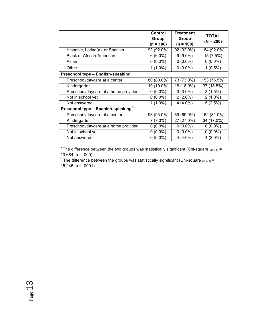|                                          | Control<br>Group<br>$(n = 100)$ | <b>Treatment</b><br>Group<br>$(n = 100)$ | <b>TOTAL</b><br>$(N = 200)$ |
|------------------------------------------|---------------------------------|------------------------------------------|-----------------------------|
| Hispanic, Latino(a), or Spanish          | 92 (92.0%)                      | 92 (92.0%)                               | 184 (92.0%)                 |
| <b>Black or African-American</b>         | $6(6.0\%)$                      | $9(9.0\%)$                               | 15 (7.5%)                   |
| Asian                                    | $0(0.0\%)$                      | $0(0.0\%)$                               | $0(0.0\%)$                  |
| Other                                    | $1(1.0\%)$                      | $0(0.0\%)$                               | $1(0.5\%)$                  |
| Preschool type - English-speaking        |                                 |                                          |                             |
| Preschool/daycare at a center            | 80 (80.0%)                      | 73 (73.0%)                               | 153 (76.5%)                 |
| Kindergarten                             | 19 (19.0%)                      | 18 (18.0%)                               | 37 (18.5%)                  |
| Preschool/daycare at a home provider     | $0(0.0\%)$                      | $3(3.0\%)$                               | 3(1.5%)                     |
| Not in school yet                        | $0(0.0\%)$                      | $2(2.0\%)$                               | $2(1.0\%)$                  |
| Not answered                             | $1(1.0\%)$                      | $4(4.0\%)$                               | 5(2.5%)                     |
| <b>Preschool type - Spanish-speaking</b> |                                 |                                          |                             |
| Preschool/daycare at a center            | 93 (93.0%)                      | 69 (69.0%)                               | 162 (81.0%)                 |
| Kindergarten                             | $7(7.0\%)$                      | 27 (27.0%)                               | 34 (17.0%)                  |
| Preschool/daycare at a home provider     | $0(0.0\%)$                      | $0(0.0\%)$                               | $0(0.0\%)$                  |
| Not in school yet                        | $0(0.0\%)$                      | $0(0.0\%)$                               | $0(0.0\%)$                  |
| Not answered                             | $0(0.0\%)$                      | $4(4.0\%)$                               | $4(2.0\%)$                  |

<sup>a</sup> The difference between the two groups was statistically significant (Chi-square <sub>(df = 1)</sub> = 13.684,  $p = .000$ ).

 $b$  The difference between the groups was statistically significant (Chi-square  $_{(df = 1)} =$ 15.245,  $p = .0001$ ).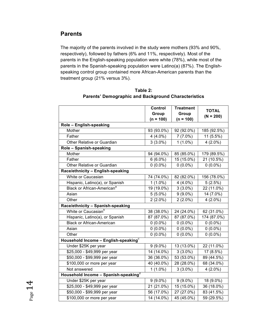# **Parents**

The majority of the parents involved in the study were mothers (93% and 90%, respectively), followed by fathers (6% and 11%, respectively). Most of the parents in the English-speaking population were white (78%), while most of the parents in the Spanish-speaking population were Latino(a) (87%). The Englishspeaking control group contained more African-American parents than the treatment group (21% versus 3%).

|                                                  | <b>Control</b>       | <b>Treatment</b>        | <b>TOTAL</b> |  |
|--------------------------------------------------|----------------------|-------------------------|--------------|--|
|                                                  | Group<br>$(n = 100)$ | Group<br>$(n = 100)$    | $(N = 200)$  |  |
| Role - English-speaking                          |                      |                         |              |  |
| Mother                                           | 93 (93.0%)           | 92 (92.0%)              | 185 (92.5%)  |  |
| Father                                           | $4(4.0\%)$           | $7(7.0\%)$              | 11 (5.5%)    |  |
| Other Relative or Guardian                       | $3(3.0\%)$           | $1(1.0\%)$              | $4(2.0\%)$   |  |
| Role - Spanish-speaking                          |                      |                         |              |  |
| Mother                                           | 94 (94.0%)           | 85 (85.0%)              | 179 (89.5%)  |  |
| Father                                           | $6(6.0\%)$           | 15 (15.0%)              | 21 (10.5%)   |  |
| Other Relative or Guardian                       | $0(0.0\%)$           | $0(0.0\%)$              | $0(0.0\%)$   |  |
| Race/ethnicity - English-speaking                |                      |                         |              |  |
| White or Caucasian                               | 74 (74.0%)           | 82 (82.0%)              | 156 (78.0%)  |  |
| Hispanic, Latino(a), or Spanish                  | $1(1.0\%)$           | $4(4.0\%)$              | 5(2.5%)      |  |
| Black or African-American <sup>a</sup>           | 19 (19.0%)           | $3(3.0\%)$              | 22 (11.0%)   |  |
| Asian                                            | $5(5.0\%)$           | $9(9.0\%)$              | 14 (7.0%)    |  |
| Other                                            | $2(2.0\%)$           | $2(2.0\%)$              | $4(2.0\%)$   |  |
| Race/ethnicity - Spanish-speaking                |                      |                         |              |  |
| White or Caucasian <sup>b</sup>                  | 38 (38.0%)           | 24 (24.0%)              | 62 (31.0%)   |  |
| Hispanic, Latino(a), or Spanish                  | 87 (87.0%)           | 87 (87.0%)              | 174 (87.0%)  |  |
| <b>Black or African-American</b>                 | $0(0.0\%)$           | $0(0.0\%)$              | $0(0.0\%)$   |  |
| Asian                                            | $0(0.0\%)$           | $0(0.0\%)$              | $0(0.0\%)$   |  |
| Other                                            | $0(0.0\%)$           | $0(0.0\%)$              | $0(0.0\%)$   |  |
| Household Income - English-speaking <sup>c</sup> |                      |                         |              |  |
| Under \$25K per year                             | $9(9.0\%)$           | 13 (13.0%)              | 22 (11.0%)   |  |
| \$25,000 - \$49,999 per year                     | 14 (14.0%)           | $3(3.0\%)$              | 17 (8.5%)    |  |
| \$50,000 - \$99,999 per year                     | 36 (36.0%)           | $\overline{53(53.0\%)}$ | 89 (44.5%)   |  |
| \$100,000 or more per year                       | 40 (40.0%)           | 28 (28.0%)              | 68 (34.0%)   |  |
| Not answered                                     | $1(1.0\%)$           | $3(3.0\%)$              | $4(2.0\%)$   |  |
| Household Income - Spanish-speaking <sup>d</sup> |                      |                         |              |  |
| Under \$25K per year                             | $9(9.0\%)$           | $9(9.0\%)$              | 18 (9.0%)    |  |
| \$25,000 - \$49,999 per year                     | 21 (21.0%)           | 15 (15.0%)              | 36 (18.0%)   |  |
| \$50,000 - \$99,999 per year                     | 56 (17.0%)           | $27(27.0\%)$            | 83 (41.5%)   |  |
| \$100,000 or more per year                       | 14 (14.0%)           | 45 (45.0%)              | 59 (29.5%)   |  |

## **Table 2: Parents' Demographic and Background Characteristics**

 $P_{\text{age}}$  14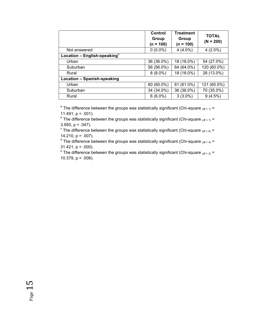|                                          | Control<br>Group<br>$(n = 100)$ | <b>Treatment</b><br>Group<br>$(n = 100)$ | <b>TOTAL</b><br>$(N = 200)$ |
|------------------------------------------|---------------------------------|------------------------------------------|-----------------------------|
| Not answered                             | $0(0.0\%)$                      | $4(4.0\%)$                               | $4(2.0\%)$                  |
| Location - English-speaking <sup>e</sup> |                                 |                                          |                             |
| Urban                                    | 36 (36.0%)                      | 18 (18.0%)                               | 54 (27.0%)                  |
| Suburban                                 | 56 (56.0%)                      | 64 (64.0%)                               | 120 (60.0%)                 |
| Rural                                    | $8(8.0\%)$                      | 18 (18.0%)                               | 26 (13.0%)                  |
| <b>Location - Spanish-speaking</b>       |                                 |                                          |                             |
| Urban                                    | 60 (60.0%)                      | 61 (61.0%)                               | 121 (60.5%)                 |
| Suburban                                 | 34 (34.0%)                      | 36 (36.0%)                               | 70 (35.0%)                  |
| Rural                                    | $6(6.0\%)$                      | $3(3.0\%)$                               | 9(4.5%)                     |

<sup>a</sup> The difference between the groups was statistically significant (Chi-square  $_{(df = 1)}$  = 11.491,  $p = .001$ ).

 $\frac{b}{c}$ . The difference between the groups was statistically significant (Chi-square <sub>(df = 1)</sub> = 3.950,  $p = .047$ ).

<sup>c</sup> The difference between the groups was statistically significant (Chi-square  $_{(df = 4)}$  = 14.210,  $p = .007$ ).

<sup>d</sup> The difference between the groups was statistically significant (Chi-square <sub>(df = 4)</sub> =  $31.421$ ,  $p = .000$ ).

<sup>e</sup> The difference between the groups was statistically significant (Chi-square  $_{(df = 2)}$  = 10.379,  $p = .006$ ).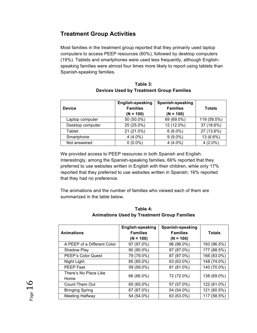# **Treatment Group Activities**

Most families in the treatment group reported that they primarily used laptop computers to access PEEP resources (60%), followed by desktop computers (19%). Tablets and smartphones were used less frequently, although Englishspeaking families were almost four times more likely to report using tablets than Spanish-speaking families.

| <b>Device</b>    | <b>English-speaking</b><br><b>Families</b><br>$(N = 100)$ | Spanish-speaking<br><b>Families</b><br>$(N = 100)$ | <b>Totals</b> |
|------------------|-----------------------------------------------------------|----------------------------------------------------|---------------|
| Laptop computer  | 50 (50.0%)                                                | 69 (69.0%)                                         | 119 (59.5%)   |
| Desktop computer | 25 (25.0%)                                                | 12 (12.0%)                                         | 37 (18.6%)    |
| Tablet           | 21 (21.0%)                                                | $6(6.0\%)$                                         | 27 (13.6%)    |
| Smartphone       | $4(4.0\%)$                                                | $9(9.0\%)$                                         | 13 (6.6%)     |
| Not answered     | $0(0.0\%)$                                                | $4(4.0\%)$                                         | $4(2.0\%)$    |

## **Table 3: Devices Used by Treatment Group Families**

We provided access to PEEP resources in both Spanish and English. Interestingly, among the Spanish-speaking families, 66% reported that they preferred to use websites written in English with their children, while only 17% reported that they preferred to use websites written in Spanish; 16% reported that they had no preference.

The animations and the number of families who viewed each of them are summarized in the table below.

| <b>Animations</b>             | <b>English-speaking</b><br><b>Families</b><br>$(N = 100)$ | Spanish-speaking<br><b>Families</b><br>$(N = 100)$ | <b>Totals</b> |
|-------------------------------|-----------------------------------------------------------|----------------------------------------------------|---------------|
| A PEEP of a Different Color   | 97 (97.0%)                                                | 96 (96.0%)                                         | 193 (96.5%)   |
| Shadow Play                   | 90 (90.0%)                                                | 87 (87.0%)                                         | 177 (88.5%)   |
| <b>PEEP's Color Quest</b>     | 79 (79.0%)                                                | 87 (87.0%)                                         | 166 (83.0%)   |
| Night Light                   | 85 (85.0%)                                                | 63 (63.0%)                                         | 148 (74.0%)   |
| <b>PEEP Feet</b>              | 59 (59.0%)                                                | 81 (81.0%)                                         | 140 (70.0%)   |
| There's No Place Like<br>Home | 66 (66.0%)                                                | 72 (72.0%)                                         | 138 (69.0%)   |
| <b>Count Them Out</b>         | 65 (65.0%)                                                | 57 (57.0%)                                         | 122 (61.0%)   |
| <b>Bringing Spring</b>        | 67 (67.0%)                                                | 54 (54.0%)                                         | 121 (60.5%)   |
| <b>Meeting Halfway</b>        | 54 (54.0%)                                                | 63 (63.0%)                                         | 117 (58.5%)   |

**Table 4: Animations Used by Treatment Group Families**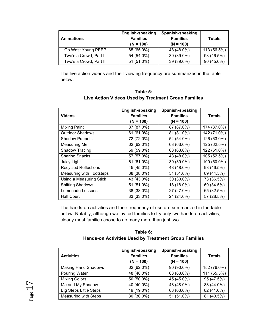| <b>Animations</b>      | <b>English-speaking</b><br><b>Families</b><br>$(N = 100)$ | Spanish-speaking<br><b>Families</b><br>$(N = 100)$ | <b>Totals</b> |
|------------------------|-----------------------------------------------------------|----------------------------------------------------|---------------|
| Go West Young PEEP     | 65 (65.0%)                                                | 48 (48.0%)                                         | 113 (56.5%)   |
| Two's a Crowd, Part I  | 54 (54.0%)                                                | 39 (39.0%)                                         | 93 (46.5%)    |
| Two's a Crowd, Part II | 51 (51.0%)                                                | 39 (39.0%)                                         | 90 (45.0%)    |

The live action videos and their viewing frequency are summarized in the table below.

|                             | <b>English-speaking</b> | Spanish-speaking |             |
|-----------------------------|-------------------------|------------------|-------------|
| Videos                      | <b>Families</b>         | <b>Families</b>  | Totals      |
|                             | $(N = 100)$             | $(N = 100)$      |             |
| Mixing Paint                | 87 (87.0%)              | 87 (87.0%)       | 174 (87.0%) |
| <b>Outdoor Shadows</b>      | 61 (61.0%)              | 81 (81.0%)       | 142 (71.0%) |
| <b>Shadow Puppets</b>       | 72 (72.0%)              | 54 (54.0%)       | 126 (63.0%) |
| Measuring Me                | 62 (62.0%)              | 63 (63.0%)       | 125 (62.5%) |
| Shadow Tracing              | 59 (59.0%)              | 63 (63.0%)       | 122 (61.0%) |
| <b>Sharing Snacks</b>       | 57 (57.0%)              | 48 (48.0%)       | 105 (52.5%) |
| Juicy Light                 | 61 (61.0%)              | 39 (39.0%)       | 100 (50.0%) |
| <b>Recycled Reflections</b> | 45 (45.0%)              | 48 (48.0%)       | 93 (46.5%)  |
| Measuring with Footsteps    | 38 (38.0%)              | 51 (51.0%)       | 89 (44.5%)  |
| Using a Measuring Stick     | 43 (43.0%)              | 30 (30.0%)       | 73 (36.5%)  |
| <b>Shifting Shadows</b>     | 51 (51.0%)              | 18 (18.0%)       | 69 (34.5%)  |
| Lemonade Lessons            | 38 (38.0%)              | 27 (27.0%)       | 65 (32.5%)  |
| <b>Half Court</b>           | 33 (33.0%)              | 24 (24.0%)       | 57 (28.5%)  |

| Table 5:                                            |  |
|-----------------------------------------------------|--|
| Live Action Videos Used by Treatment Group Families |  |

The hands-on activities and their frequency of use are summarized in the table below. Notably, although we invited families to try only two hands-on activities, clearly most families chose to do many more than just two.

| Table 6:                                                    |  |
|-------------------------------------------------------------|--|
| <b>Hands-on Activities Used by Treatment Group Families</b> |  |

| <b>Activities</b>             | <b>English-speaking</b><br><b>Families</b> | Spanish-speaking<br><b>Families</b> | <b>Totals</b> |
|-------------------------------|--------------------------------------------|-------------------------------------|---------------|
|                               | $(N = 100)$                                | $(N = 100)$                         |               |
| <b>Making Hand Shadows</b>    | 62 (62.0%)                                 | 90 (90.0%)                          | 152 (76.0%)   |
| Pouring Water                 | 48 (48.0%)                                 | 63 (63.0%)                          | 111 (55.5%)   |
| <b>Mixing Colors</b>          | 50 (50.0%)                                 | 45 (45.0%)                          | 95 (47.5%)    |
| Me and My Shadow              | 40 (40.0%)                                 | 48 (48.0%)                          | 88 (44.0%)    |
| <b>Big Steps Little Steps</b> | 19 (19.0%)                                 | 63 (63.0%)                          | 82 (41.0%)    |
| Measuring with Steps          | 30 (30.0%)                                 | 51 (51.0%)                          | 81 (40.5%)    |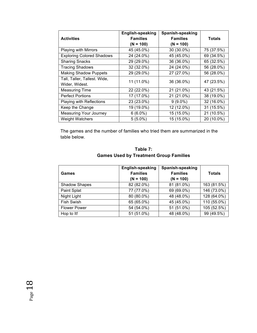|                                  | <b>English-speaking</b> | Spanish-speaking |               |
|----------------------------------|-------------------------|------------------|---------------|
| <b>Activities</b>                | <b>Families</b>         | <b>Families</b>  | <b>Totals</b> |
|                                  | $(N = 100)$             | $(N = 100)$      |               |
| <b>Playing with Mirrors</b>      | 45 (45.0%)              | 30 (30.0%)       | 75 (37.5%)    |
| <b>Exploring Colored Shadows</b> | 24 (24.0%)              | 45 (45.0%)       | 69 (34.5%)    |
| <b>Sharing Snacks</b>            | 29 (29.0%)              | 36 (36.0%)       | 65 (32.5%)    |
| <b>Tracing Shadows</b>           | 32 (32.0%)              | 24 (24.0%)       | 56 (28.0%)    |
| <b>Making Shadow Puppets</b>     | 29 (29.0%)              | 27 (27.0%)       | 56 (28.0%)    |
| Tall, Taller, Tallest. Wide,     | 11 (11.0%)              | 36 (36.0%)       | 47 (23.5%)    |
| Wider, Widest.                   |                         |                  |               |
| <b>Measuring Time</b>            | 22 (22.0%)              | 21 (21.0%)       | 43 (21.5%)    |
| <b>Perfect Portions</b>          | 17 (17.0%)              | 21 (21.0%)       | 38 (19.0%)    |
| Playing with Reflections         | 23 (23.0%)              | $9(9.0\%)$       | 32 (16.0%)    |
| Keep the Change                  | 19 (19.0%)              | 12 (12.0%)       | 31 (15.5%)    |
| Measuring Your Journey           | $6(6.0\%)$              | 15 (15.0%)       | 21 (10.5%)    |
| <b>Weight Watchers</b>           | $5(5.0\%)$              | 15 (15.0%)       | 20 (10.0%)    |

The games and the number of families who tried them are summarized in the table below.

|  | Table 7:                                      |  |
|--|-----------------------------------------------|--|
|  | <b>Games Used by Treatment Group Families</b> |  |

| Games               | English-speaking<br><b>Families</b><br>$(N = 100)$ | Spanish-speaking<br><b>Families</b><br>$(N = 100)$ | <b>Totals</b> |
|---------------------|----------------------------------------------------|----------------------------------------------------|---------------|
| Shadow Shapes       | 82 (82.0%)                                         | 81 (81.0%)                                         | 163 (81.5%)   |
| Paint Splat         | 77 (77.0%)                                         | 69 (69.0%)                                         | 146 (73.0%)   |
| Night Light         | 80 (80.0%)                                         | 48 (48.0%)                                         | 128 (64.0%)   |
| Fish Swish          | 65 (65.0%)                                         | 45 (45.0%)                                         | 110 (55.0%)   |
| <b>Flower Power</b> | 54 (54.0%)                                         | 51 (51.0%)                                         | 105 (52.5%)   |
| Hop to It!          | 51 (51.0%)                                         | 48 (48.0%)                                         | 99 (49.5%)    |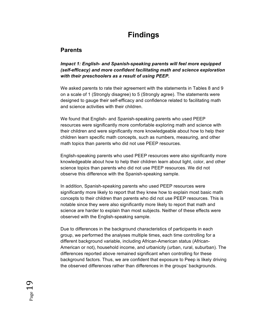# **Findings**

# **Parents**

*Impact 1: English- and Spanish-speaking parents will feel more equipped (self-efficacy) and more confident facilitating math and science exploration with their preschoolers as a result of using PEEP.*

We asked parents to rate their agreement with the statements in Tables 8 and 9 on a scale of 1 (Strongly disagree) to 5 (Strongly agree). The statements were designed to gauge their self-efficacy and confidence related to facilitating math and science activities with their children.

We found that English- and Spanish-speaking parents who used PEEP resources were significantly more comfortable exploring math and science with their children and were significantly more knowledgeable about how to help their children learn specific math concepts, such as numbers, measuring, and other math topics than parents who did not use PEEP resources.

English-speaking parents who used PEEP resources were also significantly more knowledgeable about how to help their children learn about light, color, and other science topics than parents who did not use PEEP resources. We did not observe this difference with the Spanish-speaking sample.

In addition, Spanish-speaking parents who used PEEP resources were significantly more likely to report that they knew how to explain most basic math concepts to their children than parents who did not use PEEP resources. This is notable since they were also significantly more likely to report that math and science are harder to explain than most subjects. Neither of these effects were observed with the English-speaking sample.

Due to differences in the background characteristics of participants in each group, we performed the analyses multiple times, each time controlling for a different background variable, including African-American status (African-American or not), household income, and urbanicity (urban, rural, suburban). The differences reported above remained significant when controlling for these background factors. Thus, we are confident that exposure to Peep is likely driving the observed differences rather than differences in the groups' backgrounds.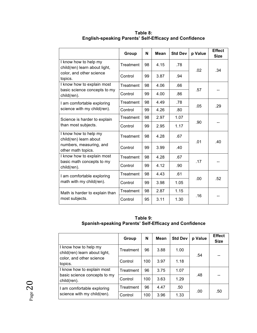|                                                                                               | Group     | N  | <b>Mean</b> | <b>Std Dev</b> | p Value | <b>Effect</b><br><b>Size</b> |
|-----------------------------------------------------------------------------------------------|-----------|----|-------------|----------------|---------|------------------------------|
| I know how to help my<br>child(ren) learn about light,<br>color, and other science<br>topics. | Treatment | 98 | 4.15        | .78            | .02     | .34                          |
|                                                                                               | Control   | 99 | 3.87        | .94            |         |                              |
| I know how to explain most                                                                    | Treatment | 98 | 4.06        | .66            |         |                              |
| basic science concepts to my<br>child(ren).                                                   | Control   | 99 | 4.00        | .86            | .57     |                              |
| I am comfortable exploring                                                                    | Treatment | 98 | 4.49        | .78            | .05     | .29                          |
| science with my child(ren).                                                                   | Control   | 99 | 4.26        | .80            |         |                              |
| Science is harder to explain                                                                  | Treatment | 98 | 2.97        | 1.07           |         |                              |
| than most subjects.                                                                           | Control   | 99 | 2.95        | 1.17           | .90     |                              |
| I know how to help my<br>child(ren) learn about                                               | Treatment | 98 | 4.28        | .67            | .01     | .40                          |
| numbers, measuring, and<br>other math topics.                                                 | Control   | 99 | 3.99        | .40            |         |                              |
| I know how to explain most                                                                    | Treatment | 98 | 4.28        | .67            |         |                              |
| basic math concepts to my<br>child(ren).                                                      | Control   | 99 | 4.12        | .90            | .17     |                              |
| I am comfortable exploring                                                                    | Treatment | 98 | 4.43        | .61            |         |                              |
| math with my child(ren).                                                                      | Control   | 99 | 3.98        | 1.05           | .00     | .52                          |
| Math is harder to explain than                                                                | Treatment | 98 | 2.87        | 1.15           |         |                              |
| most subjects.                                                                                | Control   | 95 | 3.11        | 1.30           | .16     |                              |

**Table 8: English-speaking Parents' Self-Efficacy and Confidence**

# **Table 9: Spanish-speaking Parents' Self-Efficacy and Confidence**

|                                                                                               | Group     | N   | <b>Mean</b> | <b>Std Dev</b> | p Value | <b>Effect</b><br><b>Size</b> |
|-----------------------------------------------------------------------------------------------|-----------|-----|-------------|----------------|---------|------------------------------|
| I know how to help my<br>child(ren) learn about light,<br>color, and other science<br>topics. | Treatment | 96  | 3.88        | 1.00           | .54     |                              |
|                                                                                               | Control   | 100 | 3.97        | 1.18           |         |                              |
| I know how to explain most                                                                    | Treatment | 96  | 3.75        | 1.07           |         |                              |
| basic science concepts to my<br>child(ren).                                                   | Control   | 100 | 3.63        | 1.29           | .48     |                              |
| I am comfortable exploring                                                                    | Treatment | 96  | 4.47        | .50            | .00     | .50                          |
| science with my child(ren).                                                                   | Control   | 100 | 3.96        | 1.33           |         |                              |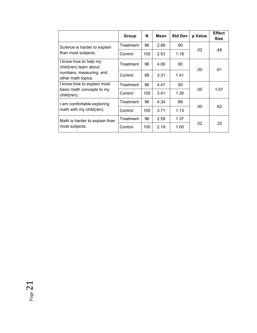|                                                 | Group     | N   | <b>Mean</b> | <b>Std Dev</b> | p Value | <b>Effect</b><br><b>Size</b> |
|-------------------------------------------------|-----------|-----|-------------|----------------|---------|------------------------------|
| Science is harder to explain                    | Treatment | 96  | 2.88        | .90            |         |                              |
| than most subjects.                             | Control   | 100 | 2.53        | 1.18           | .02     | .48                          |
| I know how to help my<br>child(ren) learn about | Treatment | 96  | 4.06        | .90            | .00     | .61                          |
| numbers, measuring, and<br>other math topics.   | Control   | 88  | 3.31        | 1.41           |         |                              |
| I know how to explain most                      | Treatment | 96  | 4.47        | .50            |         |                              |
| basic math concepts to my<br>child(ren).        | Control   | 100 | 3.41        | 1.30           | .00     | 1.07                         |
| I am comfortable exploring                      | Treatment | 96  | 4.34        | .89            |         |                              |
| math with my child(ren).                        | Control   | 100 | 3.71        | 1.13           | .00     | .62                          |
| Math is harder to explain than                  | Treatment | 96  | 2.59        | 1.37           |         |                              |
| most subjects.                                  | Control   | 100 | 2.19        | 1.00           | .02     | .33                          |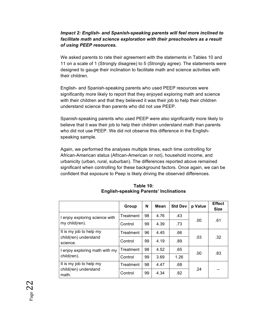## *Impact 2: English- and Spanish-speaking parents will feel more inclined to facilitate math and science exploration with their preschoolers as a result of using PEEP resources.*

We asked parents to rate their agreement with the statements in Tables 10 and 11 on a scale of 1 (Strongly disagree) to 5 (Strongly agree). The statements were designed to gauge their inclination to facilitate math and science activities with their children.

English- and Spanish-speaking parents who used PEEP resources were significantly more likely to report that they enjoyed exploring math and science with their children and that they believed it was their job to help their children understand science than parents who did not use PEEP.

Spanish-speaking parents who used PEEP were also significantly more likely to believe that it was their job to help their children understand math than parents who did not use PEEP. We did not observe this difference in the Englishspeaking sample.

Again, we performed the analyses multiple times, each time controlling for African-American status (African-American or not), household income, and urbanicity (urban, rural, suburban). The differences reported above remained significant when controlling for these background factors. Once again, we can be confident that exposure to Peep is likely driving the observed differences.

|                                                              | Group     | N  | Mean | <b>Std Dev</b> | p Value | <b>Effect</b><br><b>Size</b> |
|--------------------------------------------------------------|-----------|----|------|----------------|---------|------------------------------|
| I enjoy exploring science with                               | Treatment | 98 | 4.76 | .43            |         |                              |
| my child(ren).                                               | Control   | 99 | 4.39 | .73            | .00     | .61                          |
| It is my job to help my<br>child(ren) understand<br>science. | Treatment | 96 | 4.45 | .66            |         |                              |
|                                                              | Control   | 99 | 4.19 | .89            | .03     | .32                          |
| I enjoy exploring math with my                               | Treatment | 98 | 4.52 | .65            | .00.    | .83                          |
| child(ren).                                                  | Control   | 99 | 3.69 | 1.26           |         |                              |
| It is my job to help my<br>child(ren) understand<br>math.    | Treatment | 98 | 4.47 | .68            |         |                              |
|                                                              | Control   | 99 | 4.34 | .82            | .24     |                              |

**Table 10: English-speaking Parents' Inclinations**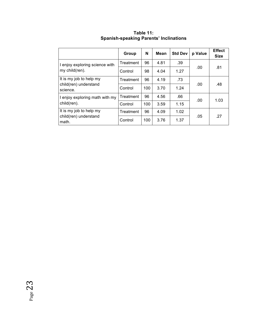|                                                              | Group     | N   | <b>Mean</b> | <b>Std Dev</b> | p Value | <b>Effect</b><br><b>Size</b> |
|--------------------------------------------------------------|-----------|-----|-------------|----------------|---------|------------------------------|
| I enjoy exploring science with                               | Treatment | 96  | 4.81        | .39            |         |                              |
| my child(ren).                                               | Control   | 98  | 4.04        | 1.27           | .00     | .81                          |
| It is my job to help my<br>child(ren) understand<br>science. | Treatment | 96  | 4.19        | .73            |         |                              |
|                                                              | Control   | 100 | 3.70        | 1.24           | .00     | .48                          |
| I enjoy exploring math with my                               | Treatment | 96  | 4.56        | .66            | .00.    | 1.03                         |
| child(ren).                                                  | Control   | 100 | 3.59        | 1.15           |         |                              |
| It is my job to help my<br>child(ren) understand<br>math.    | Treatment | 96  | 4.09        | 1.02           |         |                              |
|                                                              | Control   | 100 | 3.76        | 1.37           | .05     | .27                          |

**Table 11: Spanish-speaking Parents' Inclinations**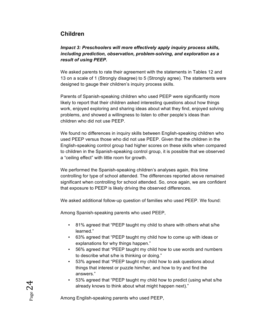# **Children**

# *Impact 3: Preschoolers will more effectively apply inquiry process skills, including prediction, observation, problem-solving, and exploration as a result of using PEEP.*

We asked parents to rate their agreement with the statements in Tables 12 and 13 on a scale of 1 (Strongly disagree) to 5 (Strongly agree). The statements were designed to gauge their children's inquiry process skills.

Parents of Spanish-speaking children who used PEEP were significantly more likely to report that their children asked interesting questions about how things work, enjoyed exploring and sharing ideas about what they find, enjoyed solving problems, and showed a willingness to listen to other people's ideas than children who did not use PEEP.

We found no differences in inquiry skills between English-speaking children who used PEEP versus those who did not use PEEP. Given that the children in the English-speaking control group had higher scores on these skills when compared to children in the Spanish-speaking control group, it is possible that we observed a "ceiling effect" with little room for growth.

We performed the Spanish-speaking children's analyses again, this time controlling for type of school attended. The differences reported above remained significant when controlling for school attended. So, once again, we are confident that exposure to PEEP is likely driving the observed differences.

We asked additional follow-up question of families who used PEEP. We found:

Among Spanish-speaking parents who used PEEP,

- 81% agreed that "PEEP taught my child to share with others what s/he learned."
- 63% agreed that "PEEP taught my child how to come up with ideas or explanations for why things happen."
- 56% agreed that "PEEP taught my child how to use words and numbers to describe what s/he is thinking or doing."
- 53% agreed that "PEEP taught my child how to ask questions about things that interest or puzzle him/her, and how to try and find the answers."
- 53% agreed that "PEEP taught my child how to predict (using what s/he already knows to think about what might happen next)."

Among English-speaking parents who used PEEP,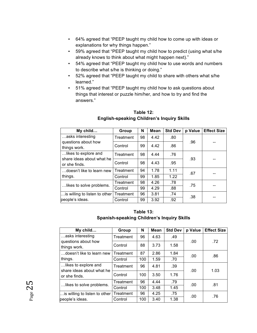- 64% agreed that "PEEP taught my child how to come up with ideas or explanations for why things happen."
- 59% agreed that "PEEP taught my child how to predict (using what s/he already knows to think about what might happen next)."
- 54% agreed that "PEEP taught my child how to use words and numbers to describe what s/he is thinking or doing."
- 52% agreed that "PEEP taught my child to share with others what s/he learned."
- 51% agreed that "PEEP taught my child how to ask questions about things that interest or puzzle him/her, and how to try and find the answers."

| My child                                   | Group     | N  | <b>Mean</b> | <b>Std Dev</b> | p Value | <b>Effect Size</b> |
|--------------------------------------------|-----------|----|-------------|----------------|---------|--------------------|
| asks interesting                           | Treatment | 98 | 4.42        | .80            |         |                    |
| questions about how<br>things work.        | Control   | 99 | 4.42        | .86            | .96     |                    |
| likes to explore and                       | Treatment | 98 | 4.44        | .76            | .93     |                    |
| share ideas about what he<br>or she finds. | Control   | 98 | 4.43        | .95            |         |                    |
| doesn't like to learn new                  | Treatment | 94 | 1.78        | 1.11           | .67     |                    |
| things.                                    | Control   | 99 | 1.85        | 1.22           |         |                    |
| likes to solve problems.                   | Treatment | 98 | 4.26        | .78            | .75     |                    |
|                                            | Control   | 99 | 4.29        | .88            |         |                    |
| is willing to listen to other              | Treatment | 96 | 3.81        | .74            | .38     |                    |
| people's ideas.                            | Control   | 99 | 3.92        | .92            |         |                    |

## **Table 12: English-speaking Children's Inquiry Skills**

**Table 13: Spanish-speaking Children's Inquiry Skills**

| My child                                          | Group     | N   | <b>Mean</b> | <b>Std Dev</b> | p Value | <b>Effect Size</b> |
|---------------------------------------------------|-----------|-----|-------------|----------------|---------|--------------------|
| asks interesting                                  | Treatment | 96  | 4.63        | .49            |         | .72                |
| questions about how<br>things work.               | Control   | 88  | 3.73        | 1.58           | .00     |                    |
| doesn't like to learn new                         | Treatment | 87  | 2.86        | 1.84           | .00.    | .86                |
| things.                                           | Control   | 100 | 1.59        | .70            |         |                    |
| likes to explore and<br>share ideas about what he | Treatment | 96  | 4.81        | .39            | .00     |                    |
| or she finds.                                     | Control   | 100 | 3.50        | 1.76           |         | 1.03               |
| likes to solve problems.                          | Treatment | 96  | 4.44        | .79            | .00.    | .81                |
|                                                   | Control   | 100 | 3.48        | 1.45           |         |                    |
| is willing to listen to other                     | Treatment | 96  | 4.25        | .75            |         | .76                |
| people's ideas.                                   | Control   | 100 | 3.40        | 1.38           | .00     |                    |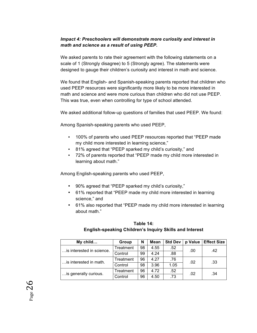## *Impact 4: Preschoolers will demonstrate more curiosity and interest in math and science as a result of using PEEP.*

We asked parents to rate their agreement with the following statements on a scale of 1 (Strongly disagree) to 5 (Strongly agree). The statements were designed to gauge their children's curiosity and interest in math and science.

We found that English- and Spanish-speaking parents reported that children who used PEEP resources were significantly more likely to be more interested in math and science and were more curious than children who did not use PEEP. This was true, even when controlling for type of school attended.

We asked additional follow-up questions of families that used PEEP. We found:

Among Spanish-speaking parents who used PEEP,

- 100% of parents who used PEEP resources reported that "PEEP made my child more interested in learning science,"
- 81% agreed that "PEEP sparked my child's curiosity," and
- 72% of parents reported that "PEEP made my child more interested in learning about math."

Among English-speaking parents who used PEEP,

- 90% agreed that "PEEP sparked my child's curiosity,"
- 61% reported that "PEEP made my child more interested in learning science," and
- 61% also reported that "PEEP made my child more interested in learning about math."

| My child                  | Group     | N  | <b>Mean</b> | <b>Std Dev</b> | p Value | <b>Effect Size</b> |
|---------------------------|-----------|----|-------------|----------------|---------|--------------------|
| is interested in science. | Treatment | 98 | 4.55        | .52            | .00     | .42                |
|                           | Control   | 99 | 4.24        | .88            |         |                    |
| is interested in math.    | Treatment | 96 | 4.27        | .76            | .02     | .33                |
|                           | Control   | 98 | 3.96        | 1.05           |         |                    |
| is generally curious.     | Treatment | 96 | 4.72        | .52            | .02     | .34                |
|                           | Control   | 96 | 4.50        | .73            |         |                    |

#### **Table 14: English-speaking Children's Inquiry Skills and Interest**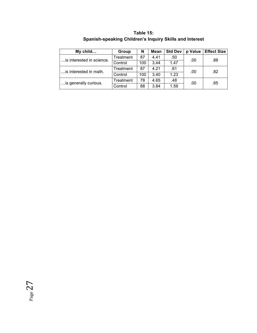| My child                  | Group     | N   | <b>Mean</b> | <b>Std Dev</b> | p Value | <b>Effect Size</b> |
|---------------------------|-----------|-----|-------------|----------------|---------|--------------------|
| is interested in science. | Treatment | 87  | 4.41        | .50            | .00     | .88                |
|                           | Control   | 100 | 3.44        | 1.47           |         |                    |
| is interested in math.    | Treatment | 87  | 4.21        | .61            | .00     | .82                |
|                           | Control   | 100 | 3.40        | 1.23           |         |                    |
| is generally curious.     | Treatment | 78  | 4.65        | .48            | .00     | .65                |
|                           | Control   | 88  | 3.84        | 1.59           |         |                    |

**Table 15: Spanish-speaking Children's Inquiry Skills and Interest**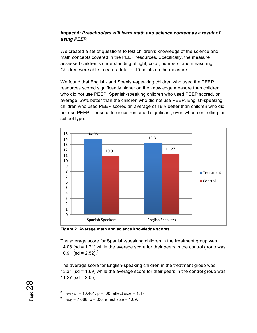#### *Impact 5: Preschoolers will learn math and science content as a result of using PEEP.*

We created a set of questions to test children's knowledge of the science and math concepts covered in the PEEP resources. Specifically, the measure assessed children's understanding of light, color, numbers, and measuring. Children were able to earn a total of 15 points on the measure.

We found that English- and Spanish-speaking children who used the PEEP resources scored significantly higher on the knowledge measure than children who did not use PEEP. Spanish-speaking children who used PEEP scored, on average, 29% better than the children who did not use PEEP. English-speaking children who used PEEP scored an average of 18% better than children who did not use PEEP. These differences remained significant, even when controlling for school type.



**Figure 2. Average math and science knowledge scores.**

The average score for Spanish-speaking children in the treatment group was 14.08 (sd = 1.71) while the average score for their peers in the control group was 10.91 (sd =  $2.52$ ).<sup>5</sup>

The average score for English-speaking children in the treatment group was 13.31 (sd = 1.69) while the average score for their peers in the control group was 11.27 (sd =  $2.05$ ).<sup>6</sup>

 $5$  t<sub>(174.084)</sub> = 10.401, p = .00, effect size = 1.47.

 $^{6}$  t <sub>(198)</sub> = 7.688, p = .00, effect size = 1.09.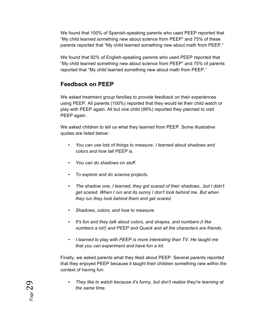We found that 100% of Spanish-speaking parents who used PEEP reported that "My child learned something new about science from PEEP" and 75% of these parents reported that "My child learned something new about math from PEEP."

We found that 92% of English-speaking parents who used PEEP reported that "My child learned something new about science from PEEP" and 75% of parents reported that "My child learned something new about math from PEEP."

# **Feedback on PEEP**

We asked treatment group families to provide feedback on their experiences using PEEP. All parents (100%) reported that they would let their child watch or play with PEEP again. All but one child (99%) reported they planned to visit PEEP again.

We asked children to tell us what they learned from PEEP. Some illustrative quotes are listed below:

- *You can use lots of things to measure. I learned about shadows and colors and how tall PEEP is.*
- *You can do shadows on stuff.*
- *To explore and do science projects.*
- *The shadow one, I learned, they got scared of their shadows...but I didn't get scared. When I run and its sunny I don't look behind me. But when they run they look behind them and get scared.*
- *Shadows, colors, and how to measure.*

 $P_{\text{age}} 29$ 

- *It's fun and they talk about colors, and shapes, and numbers (I like numbers a lot!) and PEEP and Quack and all the characters are friends.*
- *I learned to play with PEEP is more interesting than TV. He taught me that you can experiment and have fun a lot.*

Finally, we asked parents what they liked about PEEP. Several parents reported that they enjoyed PEEP because it taught their children something new within the context of having fun:

• *They like to watch because it's funny, but don't realize they're learning at the same time.*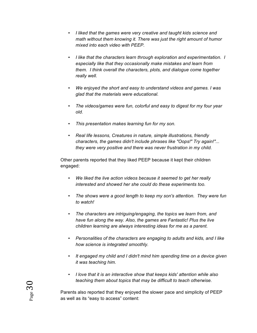- *I liked that the games were very creative and taught kids science and math without them knowing it. There was just the right amount of humor mixed into each video with PEEP.*
- *I like that the characters learn through exploration and experimentation. I especially like that they occasionally make mistakes and learn from them. I think overall the characters, plots, and dialogue come together really well.*
- *We enjoyed the short and easy to understand videos and games. I was glad that the materials were educational.*
- *The videos/games were fun, colorful and easy to digest for my four year old.*
- *This presentation makes learning fun for my son.*
- *Real life lessons, Creatures in nature, simple illustrations, friendly characters, the games didn't include phrases like "Oops!" Try again!"... they were very positive and there was never frustration in my child.*

Other parents reported that they liked PEEP because it kept their children engaged:

- *We liked the live action videos because it seemed to get her really interested and showed her she could do these experiments too.*
- *The shows were a good length to keep my son's attention. They were fun to watch!*
- *The characters are intriguing/engaging, the topics we learn from, and have fun along the way. Also, the games are Fantastic! Plus the live children learning are always interesting ideas for me as a parent.*
- *Personalities of the characters are engaging to adults and kids, and I like how science is integrated smoothly.*
- *It engaged my child and I didn't mind him spending time on a device given it was teaching him.*
- *I love that it is an interactive show that keeps kids' attention while also teaching them about topics that may be difficult to teach otherwise.*

Parents also reported that they enjoyed the slower pace and simplicity of PEEP as well as its "easy to access" content:

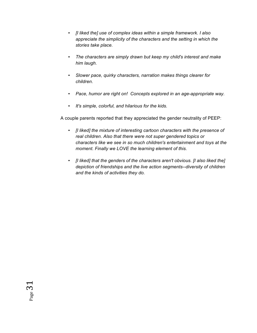- *[I liked the] use of complex ideas within a simple framework. I also appreciate the simplicity of the characters and the setting in which the stories take place.*
- *The characters are simply drawn but keep my child's interest and make him laugh.*
- *Slower pace, quirky characters, narration makes things clearer for children.*
- *Pace, humor are right on! Concepts explored in an age-appropriate way.*
- *It's simple, colorful, and hilarious for the kids.*

A couple parents reported that they appreciated the gender neutrality of PEEP:

- *[I liked] the mixture of interesting cartoon characters with the presence of real children. Also that there were not super gendered topics or characters like we see in so much children's entertainment and toys at the moment. Finally we LOVE the learning element of this.*
- *[I liked] that the genders of the characters aren't obvious. [I also liked the] depiction of friendships and the live action segments--diversity of children and the kinds of activities they do.*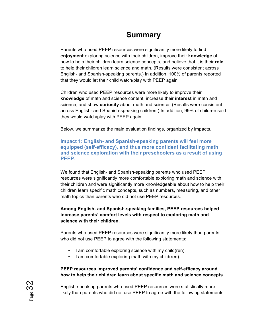# **Summary**

Parents who used PEEP resources were significantly more likely to find **enjoyment** exploring science with their children, improve their **knowledge** of how to help their children learn science concepts, and believe that it is their **role** to help their children learn science and math. (Results were consistent across English- and Spanish-speaking parents.) In addition, 100% of parents reported that they would let their child watch/play with PEEP again.

Children who used PEEP resources were more likely to improve their **knowledge** of math and science content, increase their **interest** in math and science, and show **curiosity** about math and science. (Results were consistent across English- and Spanish-speaking children.) In addition, 99% of children said they would watch/play with PEEP again.

Below, we summarize the main evaluation findings, organized by impacts.

**Impact 1: English- and Spanish-speaking parents will feel more equipped (self-efficacy), and thus more confident facilitating math and science exploration with their preschoolers as a result of using PEEP.**

We found that English- and Spanish-speaking parents who used PEEP resources were significantly more comfortable exploring math and science with their children and were significantly more knowledgeable about how to help their children learn specific math concepts, such as numbers, measuring, and other math topics than parents who did not use PEEP resources.

# **Among English- and Spanish-speaking families, PEEP resources helped increase parents' comfort levels with respect to exploring math and science with their children.**

Parents who used PEEP resources were significantly more likely than parents who did not use PEEP to agree with the following statements:

- I am comfortable exploring science with my child(ren).
- I am comfortable exploring math with my child(ren).

## **PEEP resources improved parents' confidence and self-efficacy around how to help their children learn about specific math and science concepts.**

English-speaking parents who used PEEP resources were statistically more likely than parents who did not use PEEP to agree with the following statements: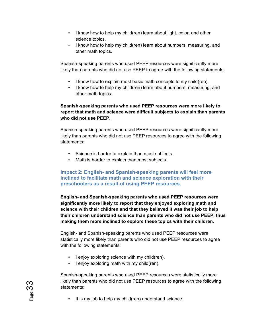- I know how to help my child(ren) learn about light, color, and other science topics.
- I know how to help my child(ren) learn about numbers, measuring, and other math topics.

Spanish-speaking parents who used PEEP resources were significantly more likely than parents who did not use PEEP to agree with the following statements:

- I know how to explain most basic math concepts to my child(ren).
- I know how to help my child(ren) learn about numbers, measuring, and other math topics.

# **Spanish-speaking parents who used PEEP resources were more likely to report that math and science were difficult subjects to explain than parents who did not use PEEP.**

Spanish-speaking parents who used PEEP resources were significantly more likely than parents who did not use PEEP resources to agree with the following statements:

- Science is harder to explain than most subjects.
- Math is harder to explain than most subjects.

## **Impact 2: English- and Spanish-speaking parents will feel more inclined to facilitate math and science exploration with their preschoolers as a result of using PEEP resources.**

**English- and Spanish-speaking parents who used PEEP resources were significantly more likely to report that they enjoyed exploring math and science with their children and that they believed it was their job to help their children understand science than parents who did not use PEEP, thus making them more inclined to explore these topics with their children.**

English- and Spanish-speaking parents who used PEEP resources were statistically more likely than parents who did not use PEEP resources to agree with the following statements:

- I enjoy exploring science with my child(ren).
- I enjoy exploring math with my child(ren).

Spanish-speaking parents who used PEEP resources were statistically more likely than parents who did not use PEEP resources to agree with the following statements:

• It is my job to help my child(ren) understand science.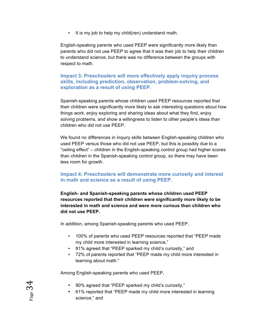• It is my job to help my child(ren) understand math.

English-speaking parents who used PEEP were significantly more likely than parents who did not use PEEP to agree that it was their job to help their children to understand science, but there was no difference between the groups with respect to math.

# **Impact 3: Preschoolers will more effectively apply inquiry process skills, including prediction, observation, problem-solving, and exploration as a result of using PEEP.**

Spanish-speaking parents whose children used PEEP resources reported that their children were significantly more likely to ask interesting questions about how things work, enjoy exploring and sharing ideas about what they find, enjoy solving problems, and show a willingness to listen to other people's ideas than children who did not use PEEP.

We found no differences in inquiry skills between English-speaking children who used PEEP versus those who did not use PEEP, but this is possibly due to a "ceiling effect" – children in the English-speaking control group had higher scores than children in the Spanish-speaking control group, so there may have been less room for growth.

# **Impact 4: Preschoolers will demonstrate more curiosity and interest in math and science as a result of using PEEP.**

**English- and Spanish-speaking parents whose children used PEEP resources reported that their children were significantly more likely to be interested in math and science and were more curious than children who did not use PEEP.** 

In addition, among Spanish-speaking parents who used PEEP,

- 100% of parents who used PEEP resources reported that "PEEP made my child more interested in learning science,"
- 81% agreed that "PEEP sparked my child's curiosity," and
- 72% of parents reported that "PEEP made my child more interested in learning about math."

Among English-speaking parents who used PEEP,

- 90% agreed that "PEEP sparked my child's curiosity,"
- 61% reported that "PEEP made my child more interested in learning science," and

 $P_{\text{age}}$  34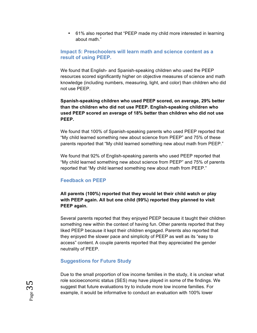• 61% also reported that "PEEP made my child more interested in learning about math."

# **Impact 5: Preschoolers will learn math and science content as a result of using PEEP.**

We found that English- and Spanish-speaking children who used the PEEP resources scored significantly higher on objective measures of science and math knowledge (including numbers, measuring, light, and color) than children who did not use PEEP.

# **Spanish-speaking children who used PEEP scored, on average, 29% better than the children who did not use PEEP. English-speaking children who used PEEP scored an average of 18% better than children who did not use PEEP.**

We found that 100% of Spanish-speaking parents who used PEEP reported that "My child learned something new about science from PEEP" and 75% of these parents reported that "My child learned something new about math from PEEP."

We found that 92% of English-speaking parents who used PEEP reported that "My child learned something new about science from PEEP" and 75% of parents reported that "My child learned something new about math from PEEP."

# **Feedback on PEEP**

## **All parents (100%) reported that they would let their child watch or play with PEEP again. All but one child (99%) reported they planned to visit PEEP again.**

Several parents reported that they enjoyed PEEP because it taught their children something new within the context of having fun. Other parents reported that they liked PEEP because it kept their children engaged. Parents also reported that they enjoyed the slower pace and simplicity of PEEP as well as its "easy to access" content. A couple parents reported that they appreciated the gender neutrality of PEEP.

# **Suggestions for Future Study**

Due to the small proportion of low income families in the study, it is unclear what role socioeconomic status (SES) may have played in some of the findings. We suggest that future evaluations try to include more low income families. For example, it would be informative to conduct an evaluation with 100% lower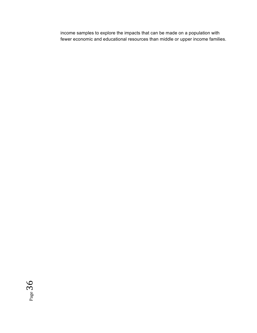income samples to explore the impacts that can be made on a population with fewer economic and educational resources than middle or upper income families.

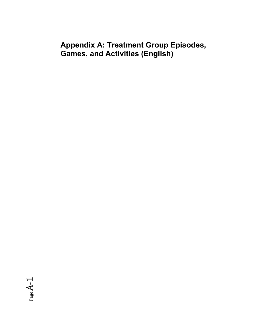# **Appendix A: Treatment Group Episodes, Games, and Activities (English)**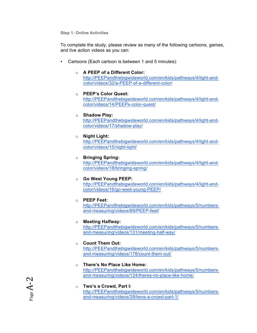**Step 1: Online Activities**

To complete the study, please review as many of the following cartoons, games, and live action videos as you can:

• Cartoons (Each cartoon is between 1 and 5 minutes):

#### o **A PEEP of a Different Color:**

http://PEEPandthebigwideworld.com/en/kids/pathways/4/light-andcolor/videos/32/a-PEEP-of-a-different-color/

#### o **PEEP's Color Quest:**

http://PEEPandthebigwideworld.com/en/kids/pathways/4/light-andcolor/videos/14/PEEPs-color-quest/

o **Shadow Play:** http://PEEPandthebigwideworld.com/en/kids/pathways/4/light-andcolor/videos/17/shadow-play/

#### o **Night Light:**  http://PEEPandthebigwideworld.com/en/kids/pathways/4/light-andcolor/videos/15/night-light/

o **Bringing Spring:**  http://PEEPandthebigwideworld.com/en/kids/pathways/4/light-andcolor/videos/18/bringing-spring/

#### o **Go West Young PEEP:**  http://PEEPandthebigwideworld.com/en/kids/pathways/4/light-andcolor/videos/16/go-west-young-PEEP/

#### o **PEEP Feet:**

http://PEEPandthebigwideworld.com/en/kids/pathways/5/numbersand-measuring/videos/69/PEEP-feet/

o **Meeting Halfway:**  http://PEEPandthebigwideworld.com/en/kids/pathways/5/numbersand-measuring/videos/131/meeting-half-way/

#### o **Count Them Out:**

http://PEEPandthebigwideworld.com/en/kids/pathways/5/numbersand-measuring/videos/178/count-them-out/

- o **There's No Place Like Home:**  http://PEEPandthebigwideworld.com/en/kids/pathways/5/numbersand-measuring/videos/124/theres-no-place-like-home/
- o **Two's a Crowd, Part I:**  http://PEEPandthebigwideworld.com/en/kids/pathways/5/numbersand-measuring/videos/39/twos-a-crowd-part-1/

Page  $\blacktriangleleft$  $\blacksquare$  $\boldsymbol{\mathsf{C}}$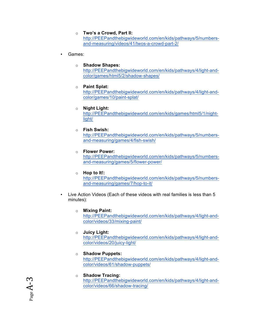#### o **Two's a Crowd, Part II:**

http://PEEPandthebigwideworld.com/en/kids/pathways/5/numbersand-measuring/videos/41/twos-a-crowd-part-2/

• Games:

#### o **Shadow Shapes:**

http://PEEPandthebigwideworld.com/en/kids/pathways/4/light-andcolor/games/html5/2/shadow-shapes/

#### o **Paint Splat:**

http://PEEPandthebigwideworld.com/en/kids/pathways/4/light-andcolor/games/10/paint-splat/

#### o **Night Light:**

http://PEEPandthebigwideworld.com/en/kids/games/html5/1/nightlight/

#### o **Fish Swish:**

http://PEEPandthebigwideworld.com/en/kids/pathways/5/numbersand-measuring/games/4/fish-swish/

#### o **Flower Power:**

http://PEEPandthebigwideworld.com/en/kids/pathways/5/numbersand-measuring/games/5/flower-power/

- o **Hop to It!:**  http://PEEPandthebigwideworld.com/en/kids/pathways/5/numbersand-measuring/games/7/hop-to-it/
- Live Action Videos (Each of these videos with real families is less than 5 minutes):

#### o **Mixing Paint:**

http://PEEPandthebigwideworld.com/en/kids/pathways/4/light-andcolor/videos/33/mixing-paint/

#### o **Juicy Light:**

http://PEEPandthebigwideworld.com/en/kids/pathways/4/light-andcolor/videos/20/juicy-light/

#### o **Shadow Puppets:**

http://PEEPandthebigwideworld.com/en/kids/pathways/4/light-andcolor/videos/61/shadow-puppets/

#### o **Shadow Tracing:**

http://PEEPandthebigwideworld.com/en/kids/pathways/4/light-andcolor/videos/66/shadow-tracing/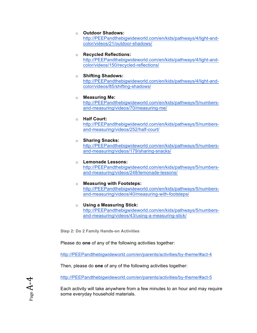#### o **Outdoor Shadows:**

http://PEEPandthebigwideworld.com/en/kids/pathways/4/light-andcolor/videos/21/outdoor-shadows/

#### o **Recycled Reflections:**

http://PEEPandthebigwideworld.com/en/kids/pathways/4/light-andcolor/videos/150/recycled-reflections/

#### o **Shifting Shadows:**

http://PEEPandthebigwideworld.com/en/kids/pathways/4/light-andcolor/videos/85/shifting-shadows/

#### o **Measuring Me:**

http://PEEPandthebigwideworld.com/en/kids/pathways/5/numbersand-measuring/videos/70/measuring-me/

#### o **Half Court:**

http://PEEPandthebigwideworld.com/en/kids/pathways/5/numbersand-measuring/videos/252/half-court/

#### o **Sharing Snacks:**

http://PEEPandthebigwideworld.com/en/kids/pathways/5/numbersand-measuring/videos/179/sharing-snacks/

#### o **Lemonade Lessons:**  http://PEEPandthebigwideworld.com/en/kids/pathways/5/numbersand-measuring/videos/248/lemonade-lessons/

#### o **Measuring with Footsteps:** http://PEEPandthebigwideworld.com/en/kids/pathways/5/numbersand-measuring/videos/40/measuring-with-footsteps/

#### o **Using a Measuring Stick:**  http://PEEPandthebigwideworld.com/en/kids/pathways/5/numbersand-measuring/videos/43/using-a-measuring-stick/

**Step 2: Do 2 Family Hands-on Activities**

Please do **one** of any of the following activities together:

http://PEEPandthebigwideworld.com/en/parents/activities/by-theme/#act-4

Then, please do **one** of any of the following activities together:

http://PEEPandthebigwideworld.com/en/parents/activities/by-theme/#act-5

Each activity will take anywhere from a few minutes to an hour and may require some everyday household materials.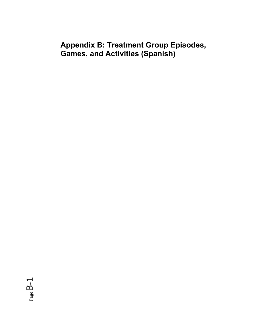# **Appendix B: Treatment Group Episodes, Games, and Activities (Spanish)**

Page  $\mathbf{\Xi}$  $\blacksquare$  $\overline{\phantom{0}}$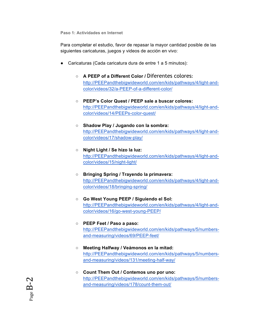**Paso 1: Actividades en Internet**

Para completar el estudio, favor de repasar la mayor cantidad posible de las siguientes caricaturas, juegos y videos de acción en vivo:

- Caricaturas (Cada caricatura dura de entre 1 a 5 minutos):
	- **A PEEP of a Different Color /** Diferentes colores**:**  http://PEEPandthebigwideworld.com/en/kids/pathways/4/light-andcolor/videos/32/a-PEEP-of-a-different-color/
	- **PEEP's Color Quest / PEEP sale a buscar colores:**  http://PEEPandthebigwideworld.com/en/kids/pathways/4/light-andcolor/videos/14/PEEPs-color-quest/
	- **Shadow Play / Jugando con la sombra:** http://PEEPandthebigwideworld.com/en/kids/pathways/4/light-andcolor/videos/17/shadow-play/
	- **Night Light / Se hizo la luz:**  http://PEEPandthebigwideworld.com/en/kids/pathways/4/light-andcolor/videos/15/night-light/
	- **Bringing Spring / Trayendo la primavera:**  http://PEEPandthebigwideworld.com/en/kids/pathways/4/light-andcolor/videos/18/bringing-spring/
	- **Go West Young PEEP / Siguiendo el Sol:**  http://PEEPandthebigwideworld.com/en/kids/pathways/4/light-andcolor/videos/16/go-west-young-PEEP/
	- **PEEP Feet / Paso a paso:** http://PEEPandthebigwideworld.com/en/kids/pathways/5/numbersand-measuring/videos/69/PEEP-feet/
	- **Meeting Halfway / Veámonos en la mitad:**  http://PEEPandthebigwideworld.com/en/kids/pathways/5/numbersand-measuring/videos/131/meeting-half-way/
	- **Count Them Out / Contemos uno por uno:**  http://PEEPandthebigwideworld.com/en/kids/pathways/5/numbersand-measuring/videos/178/count-them-out/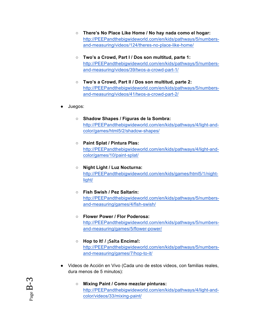- **There's No Place Like Home / No hay nada como el hogar:**  http://PEEPandthebigwideworld.com/en/kids/pathways/5/numbersand-measuring/videos/124/theres-no-place-like-home/
- **Two's a Crowd, Part I / Dos son multitud, parte 1:**  http://PEEPandthebigwideworld.com/en/kids/pathways/5/numbersand-measuring/videos/39/twos-a-crowd-part-1/
- **Two's a Crowd, Part II / Dos son multitud, parte 2:**  http://PEEPandthebigwideworld.com/en/kids/pathways/5/numbersand-measuring/videos/41/twos-a-crowd-part-2/
- Juegos:
	- **Shadow Shapes / Figuras de la Sombra:**  http://PEEPandthebigwideworld.com/en/kids/pathways/4/light-andcolor/games/html5/2/shadow-shapes/
	- **Paint Splat / Pintura Plas:**  http://PEEPandthebigwideworld.com/en/kids/pathways/4/light-andcolor/games/10/paint-splat/
	- **Night Light / Luz Nocturna:**  http://PEEPandthebigwideworld.com/en/kids/games/html5/1/nightlight/
	- **Fish Swish / Pez Saltarín:**  http://PEEPandthebigwideworld.com/en/kids/pathways/5/numbersand-measuring/games/4/fish-swish/
	- **Flower Power / Flor Poderosa:**  http://PEEPandthebigwideworld.com/en/kids/pathways/5/numbersand-measuring/games/5/flower-power/
	- **Hop to It! / ¡Salta Encima!:**  http://PEEPandthebigwideworld.com/en/kids/pathways/5/numbersand-measuring/games/7/hop-to-it/
- Videos de Acción en Vivo (Cada uno de estos videos, con familias reales, dura menos de 5 minutos):
	- **Mixing Paint / Como mezclar pinturas:**  http://PEEPandthebigwideworld.com/en/kids/pathways/4/light-andcolor/videos/33/mixing-paint/

Page  $\mathbf{\Xi}$  $\blacksquare$ <u>က</u>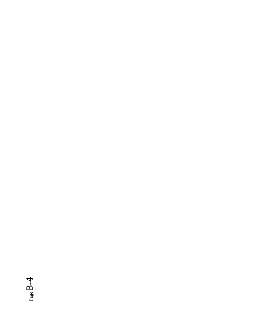$P_{\text{age}}$   $B-4$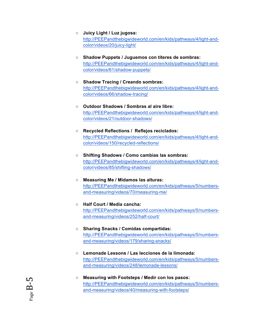- **Juicy Light / Luz jugosa:**  http://PEEPandthebigwideworld.com/en/kids/pathways/4/light-andcolor/videos/20/juicy-light/
- **Shadow Puppets / Juguemos con títeres de sombras:**  http://PEEPandthebigwideworld.com/en/kids/pathways/4/light-andcolor/videos/61/shadow-puppets/
- **Shadow Tracing / Creando sombras:** http://PEEPandthebigwideworld.com/en/kids/pathways/4/light-andcolor/videos/66/shadow-tracing/
- **Outdoor Shadows / Sombras al aire libre:**  http://PEEPandthebigwideworld.com/en/kids/pathways/4/light-andcolor/videos/21/outdoor-shadows/
- **Recycled Reflections / Reflejos reciclados:** http://PEEPandthebigwideworld.com/en/kids/pathways/4/light-andcolor/videos/150/recycled-reflections/
- **Shifting Shadows / Como cambias las sombras:**  http://PEEPandthebigwideworld.com/en/kids/pathways/4/light-andcolor/videos/85/shifting-shadows/
- **Measuring Me / Midamos las alturas:**  http://PEEPandthebigwideworld.com/en/kids/pathways/5/numbersand-measuring/videos/70/measuring-me/
- **Half Court / Media cancha:** http://PEEPandthebigwideworld.com/en/kids/pathways/5/numbersand-measuring/videos/252/half-court/
- **Sharing Snacks / Comidas compartidas:**  http://PEEPandthebigwideworld.com/en/kids/pathways/5/numbersand-measuring/videos/179/sharing-snacks/
- **Lemonade Lessons / Las lecciones de la limonada:**  http://PEEPandthebigwideworld.com/en/kids/pathways/5/numbersand-measuring/videos/248/lemonade-lessons/
- **Measuring with Footsteps / Medir con los pasos:** http://PEEPandthebigwideworld.com/en/kids/pathways/5/numbersand-measuring/videos/40/measuring-with-footsteps/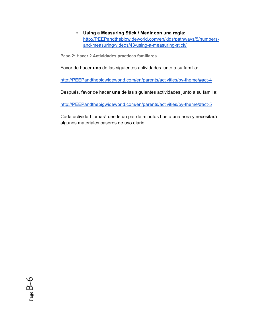○ **Using a Measuring Stick / Medir con una regla:**  http://PEEPandthebigwideworld.com/en/kids/pathways/5/numbersand-measuring/videos/43/using-a-measuring-stick/

**Paso 2: Hacer 2 Actividades practicas familiares**

Favor de hacer **una** de las siguientes actividades junto a su familia:

http://PEEPandthebigwideworld.com/en/parents/activities/by-theme/#act-4

Después, favor de hacer **una** de las siguientes actividades junto a su familia:

http://PEEPandthebigwideworld.com/en/parents/activities/by-theme/#act-5

Cada actividad tomará desde un par de minutos hasta una hora y necesitará algunos materiales caseros de uso diario.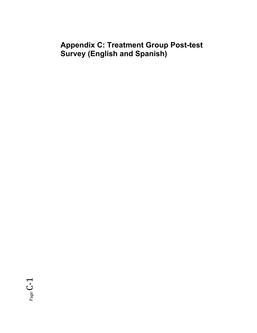# **Appendix C: Treatment Group Post-test Survey (English and Spanish)**